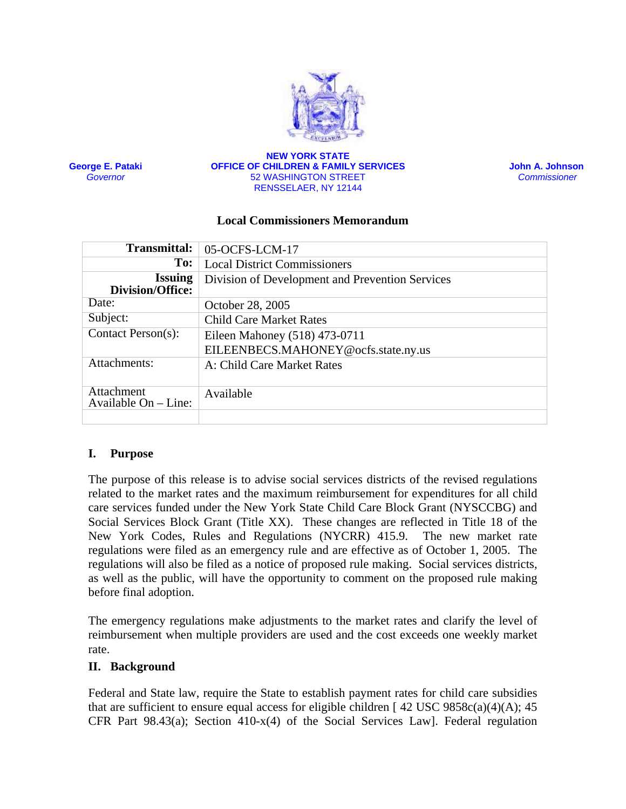

**George E. Pataki** *Governor*

#### **NEW YORK STATE OFFICE OF CHILDREN & FAMILY SERVICES** 52 WASHINGTON STREET RENSSELAER, NY 12144

 **John A. Johnson**  *Commissioner* 

#### **Local Commissioners Memorandum**

| <b>Transmittal:</b>                  | 05-OCFS-LCM-17                                  |
|--------------------------------------|-------------------------------------------------|
| To:                                  | <b>Local District Commissioners</b>             |
| <b>Issuing</b><br>Division/Office:   | Division of Development and Prevention Services |
| Date:                                | October 28, 2005                                |
| Subject:                             | <b>Child Care Market Rates</b>                  |
| Contact Person(s):                   | Eileen Mahoney (518) 473-0711                   |
|                                      | EILEENBECS.MAHONEY@ocfs.state.ny.us             |
| Attachments:                         | A: Child Care Market Rates                      |
| Attachment<br>Available $On$ – Line: | Available                                       |
|                                      |                                                 |

## **I. Purpose**

The purpose of this release is to advise social services districts of the revised regulations related to the market rates and the maximum reimbursement for expenditures for all child care services funded under the New York State Child Care Block Grant (NYSCCBG) and Social Services Block Grant (Title XX). These changes are reflected in Title 18 of the New York Codes, Rules and Regulations (NYCRR) 415.9. The new market rate regulations were filed as an emergency rule and are effective as of October 1, 2005. The regulations will also be filed as a notice of proposed rule making. Social services districts, as well as the public, will have the opportunity to comment on the proposed rule making before final adoption.

The emergency regulations make adjustments to the market rates and clarify the level of reimbursement when multiple providers are used and the cost exceeds one weekly market rate.

#### **II. Background**

Federal and State law, require the State to establish payment rates for child care subsidies that are sufficient to ensure equal access for eligible children  $[42 \text{ USC } 9858c(a)(4)(A); 45$ CFR Part 98.43(a); Section 410-x(4) of the Social Services Law]. Federal regulation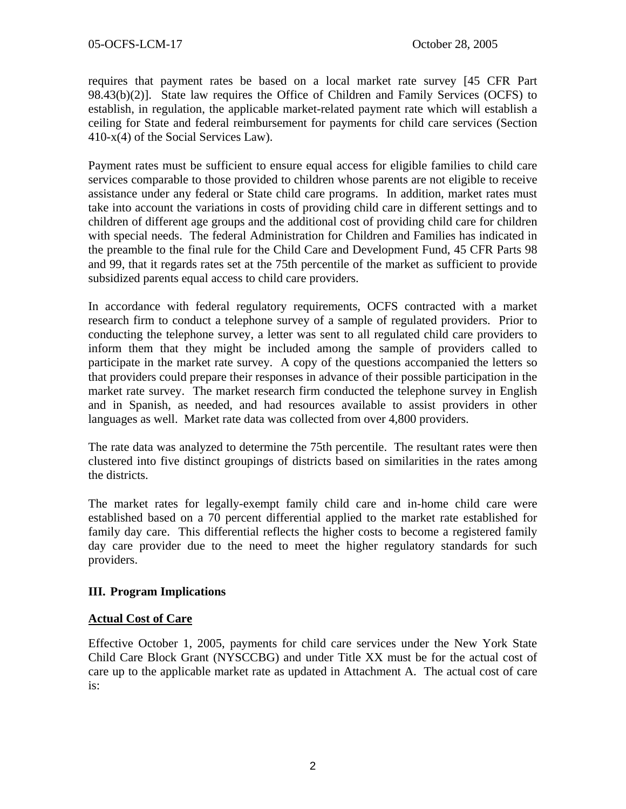requires that payment rates be based on a local market rate survey [45 CFR Part 98.43(b)(2)]. State law requires the Office of Children and Family Services (OCFS) to establish, in regulation, the applicable market-related payment rate which will establish a ceiling for State and federal reimbursement for payments for child care services (Section 410-x(4) of the Social Services Law).

Payment rates must be sufficient to ensure equal access for eligible families to child care services comparable to those provided to children whose parents are not eligible to receive assistance under any federal or State child care programs. In addition, market rates must take into account the variations in costs of providing child care in different settings and to children of different age groups and the additional cost of providing child care for children with special needs. The federal Administration for Children and Families has indicated in the preamble to the final rule for the Child Care and Development Fund, 45 CFR Parts 98 and 99, that it regards rates set at the 75th percentile of the market as sufficient to provide subsidized parents equal access to child care providers.

In accordance with federal regulatory requirements, OCFS contracted with a market research firm to conduct a telephone survey of a sample of regulated providers. Prior to conducting the telephone survey, a letter was sent to all regulated child care providers to inform them that they might be included among the sample of providers called to participate in the market rate survey. A copy of the questions accompanied the letters so that providers could prepare their responses in advance of their possible participation in the market rate survey. The market research firm conducted the telephone survey in English and in Spanish, as needed, and had resources available to assist providers in other languages as well. Market rate data was collected from over 4,800 providers.

The rate data was analyzed to determine the 75th percentile. The resultant rates were then clustered into five distinct groupings of districts based on similarities in the rates among the districts.

The market rates for legally-exempt family child care and in-home child care were established based on a 70 percent differential applied to the market rate established for family day care. This differential reflects the higher costs to become a registered family day care provider due to the need to meet the higher regulatory standards for such providers.

## **III. Program Implications**

#### **Actual Cost of Care**

Effective October 1, 2005, payments for child care services under the New York State Child Care Block Grant (NYSCCBG) and under Title XX must be for the actual cost of care up to the applicable market rate as updated in Attachment A. The actual cost of care is: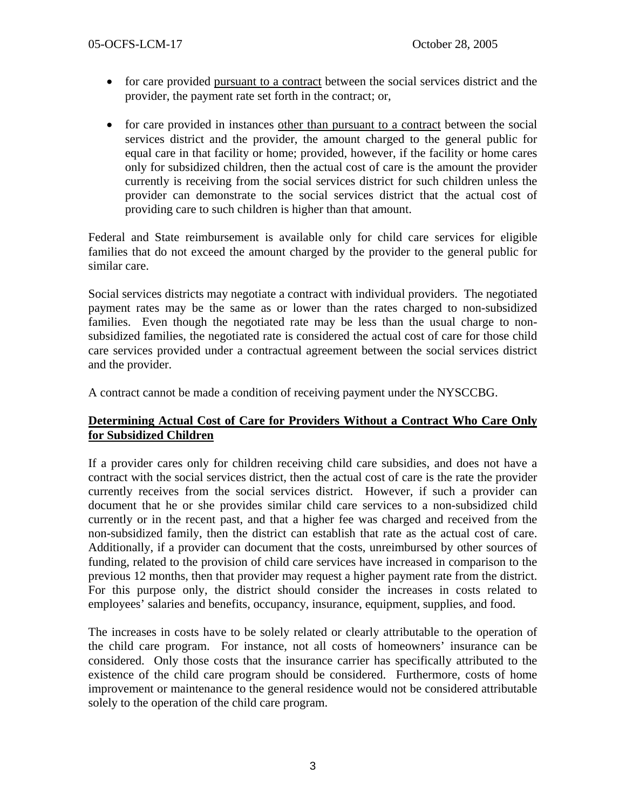- for care provided pursuant to a contract between the social services district and the provider, the payment rate set forth in the contract; or,
- for care provided in instances other than pursuant to a contract between the social services district and the provider, the amount charged to the general public for equal care in that facility or home; provided, however, if the facility or home cares only for subsidized children, then the actual cost of care is the amount the provider currently is receiving from the social services district for such children unless the provider can demonstrate to the social services district that the actual cost of providing care to such children is higher than that amount.

Federal and State reimbursement is available only for child care services for eligible families that do not exceed the amount charged by the provider to the general public for similar care.

Social services districts may negotiate a contract with individual providers. The negotiated payment rates may be the same as or lower than the rates charged to non-subsidized families. Even though the negotiated rate may be less than the usual charge to nonsubsidized families, the negotiated rate is considered the actual cost of care for those child care services provided under a contractual agreement between the social services district and the provider.

A contract cannot be made a condition of receiving payment under the NYSCCBG.

## **Determining Actual Cost of Care for Providers Without a Contract Who Care Only for Subsidized Children**

If a provider cares only for children receiving child care subsidies, and does not have a contract with the social services district, then the actual cost of care is the rate the provider currently receives from the social services district. However, if such a provider can document that he or she provides similar child care services to a non-subsidized child currently or in the recent past, and that a higher fee was charged and received from the non-subsidized family, then the district can establish that rate as the actual cost of care. Additionally, if a provider can document that the costs, unreimbursed by other sources of funding, related to the provision of child care services have increased in comparison to the previous 12 months, then that provider may request a higher payment rate from the district. For this purpose only, the district should consider the increases in costs related to employees' salaries and benefits, occupancy, insurance, equipment, supplies, and food.

The increases in costs have to be solely related or clearly attributable to the operation of the child care program. For instance, not all costs of homeowners' insurance can be considered. Only those costs that the insurance carrier has specifically attributed to the existence of the child care program should be considered. Furthermore, costs of home improvement or maintenance to the general residence would not be considered attributable solely to the operation of the child care program.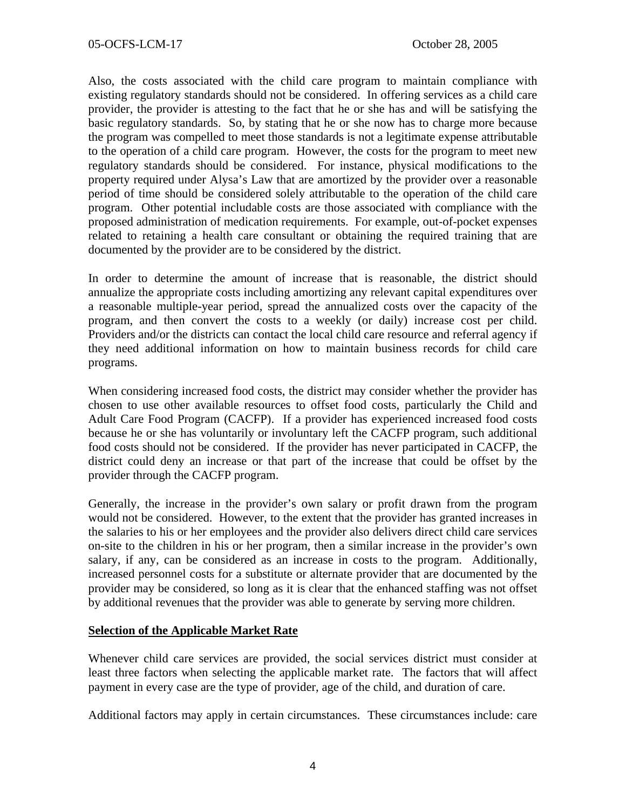Also, the costs associated with the child care program to maintain compliance with existing regulatory standards should not be considered. In offering services as a child care provider, the provider is attesting to the fact that he or she has and will be satisfying the basic regulatory standards. So, by stating that he or she now has to charge more because the program was compelled to meet those standards is not a legitimate expense attributable to the operation of a child care program. However, the costs for the program to meet new regulatory standards should be considered. For instance, physical modifications to the property required under Alysa's Law that are amortized by the provider over a reasonable period of time should be considered solely attributable to the operation of the child care program. Other potential includable costs are those associated with compliance with the proposed administration of medication requirements. For example, out-of-pocket expenses related to retaining a health care consultant or obtaining the required training that are documented by the provider are to be considered by the district.

In order to determine the amount of increase that is reasonable, the district should annualize the appropriate costs including amortizing any relevant capital expenditures over a reasonable multiple-year period, spread the annualized costs over the capacity of the program, and then convert the costs to a weekly (or daily) increase cost per child. Providers and/or the districts can contact the local child care resource and referral agency if they need additional information on how to maintain business records for child care programs.

When considering increased food costs, the district may consider whether the provider has chosen to use other available resources to offset food costs, particularly the Child and Adult Care Food Program (CACFP). If a provider has experienced increased food costs because he or she has voluntarily or involuntary left the CACFP program, such additional food costs should not be considered. If the provider has never participated in CACFP, the district could deny an increase or that part of the increase that could be offset by the provider through the CACFP program.

Generally, the increase in the provider's own salary or profit drawn from the program would not be considered. However, to the extent that the provider has granted increases in the salaries to his or her employees and the provider also delivers direct child care services on-site to the children in his or her program, then a similar increase in the provider's own salary, if any, can be considered as an increase in costs to the program. Additionally, increased personnel costs for a substitute or alternate provider that are documented by the provider may be considered, so long as it is clear that the enhanced staffing was not offset by additional revenues that the provider was able to generate by serving more children.

## **Selection of the Applicable Market Rate**

Whenever child care services are provided, the social services district must consider at least three factors when selecting the applicable market rate. The factors that will affect payment in every case are the type of provider, age of the child, and duration of care.

Additional factors may apply in certain circumstances. These circumstances include: care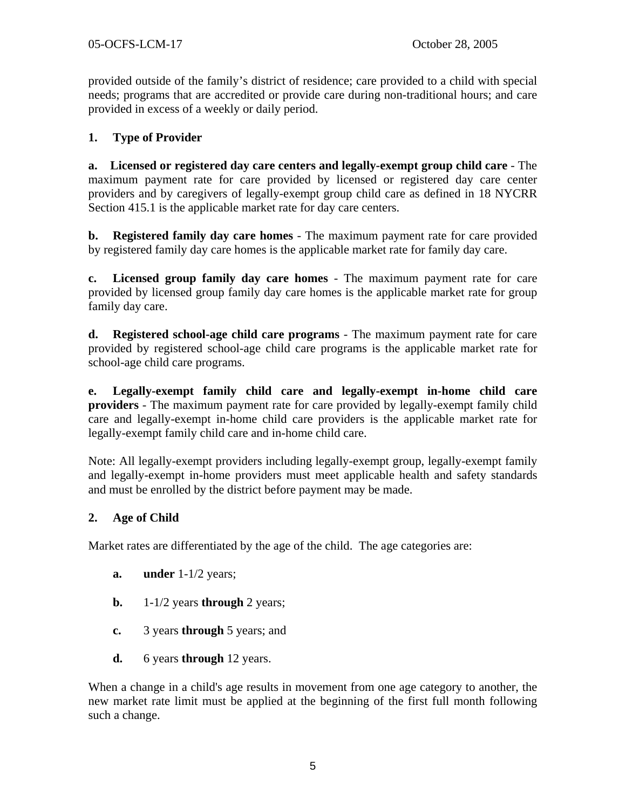provided outside of the family's district of residence; care provided to a child with special needs; programs that are accredited or provide care during non-traditional hours; and care provided in excess of a weekly or daily period.

## **1. Type of Provider**

**a. Licensed or registered day care centers and legally-exempt group child care** - The maximum payment rate for care provided by licensed or registered day care center providers and by caregivers of legally-exempt group child care as defined in 18 NYCRR Section 415.1 is the applicable market rate for day care centers.

**b. Registered family day care homes** - The maximum payment rate for care provided by registered family day care homes is the applicable market rate for family day care.

**c. Licensed group family day care homes** - The maximum payment rate for care provided by licensed group family day care homes is the applicable market rate for group family day care.

**d. Registered school-age child care programs** - The maximum payment rate for care provided by registered school-age child care programs is the applicable market rate for school-age child care programs.

**e. Legally-exempt family child care and legally-exempt in-home child care providers** - The maximum payment rate for care provided by legally-exempt family child care and legally-exempt in-home child care providers is the applicable market rate for legally-exempt family child care and in-home child care.

Note: All legally-exempt providers including legally-exempt group, legally-exempt family and legally-exempt in-home providers must meet applicable health and safety standards and must be enrolled by the district before payment may be made.

## **2. Age of Child**

Market rates are differentiated by the age of the child. The age categories are:

- **a.** under 1-1/2 years;
- **b.** 1-1/2 years **through** 2 years;
- **c.** 3 years **through** 5 years; and
- **d.** 6 years **through** 12 years.

When a change in a child's age results in movement from one age category to another, the new market rate limit must be applied at the beginning of the first full month following such a change.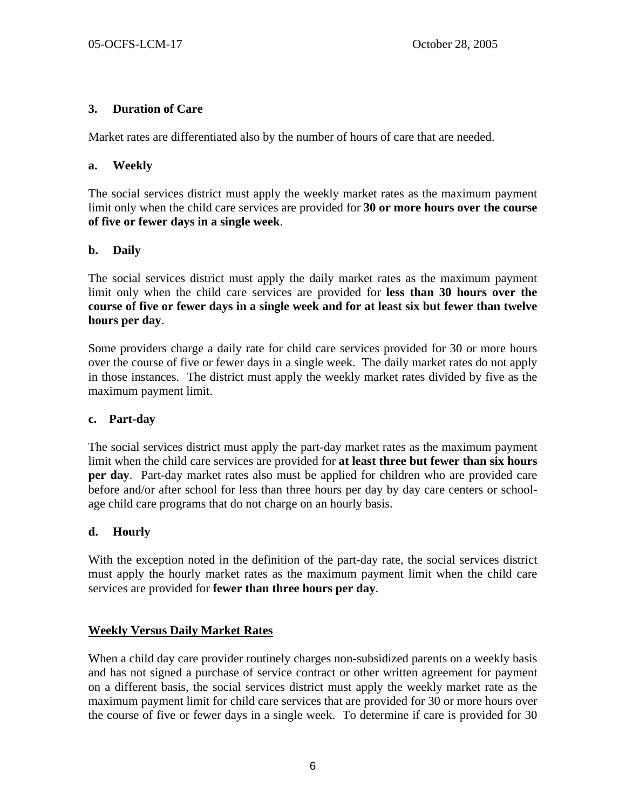## **3. Duration of Care**

Market rates are differentiated also by the number of hours of care that are needed.

#### **a. Weekly**

The social services district must apply the weekly market rates as the maximum payment limit only when the child care services are provided for **30 or more hours over the course of five or fewer days in a single week**.

#### **b. Daily**

The social services district must apply the daily market rates as the maximum payment limit only when the child care services are provided for **less than 30 hours over the course of five or fewer days in a single week and for at least six but fewer than twelve hours per day**.

Some providers charge a daily rate for child care services provided for 30 or more hours over the course of five or fewer days in a single week. The daily market rates do not apply in those instances. The district must apply the weekly market rates divided by five as the maximum payment limit.

#### **c. Part-day**

The social services district must apply the part-day market rates as the maximum payment limit when the child care services are provided for **at least three but fewer than six hours per day**. Part-day market rates also must be applied for children who are provided care before and/or after school for less than three hours per day by day care centers or schoolage child care programs that do not charge on an hourly basis.

## **d. Hourly**

With the exception noted in the definition of the part-day rate, the social services district must apply the hourly market rates as the maximum payment limit when the child care services are provided for **fewer than three hours per day**.

## **Weekly Versus Daily Market Rates**

When a child day care provider routinely charges non-subsidized parents on a weekly basis and has not signed a purchase of service contract or other written agreement for payment on a different basis, the social services district must apply the weekly market rate as the maximum payment limit for child care services that are provided for 30 or more hours over the course of five or fewer days in a single week. To determine if care is provided for 30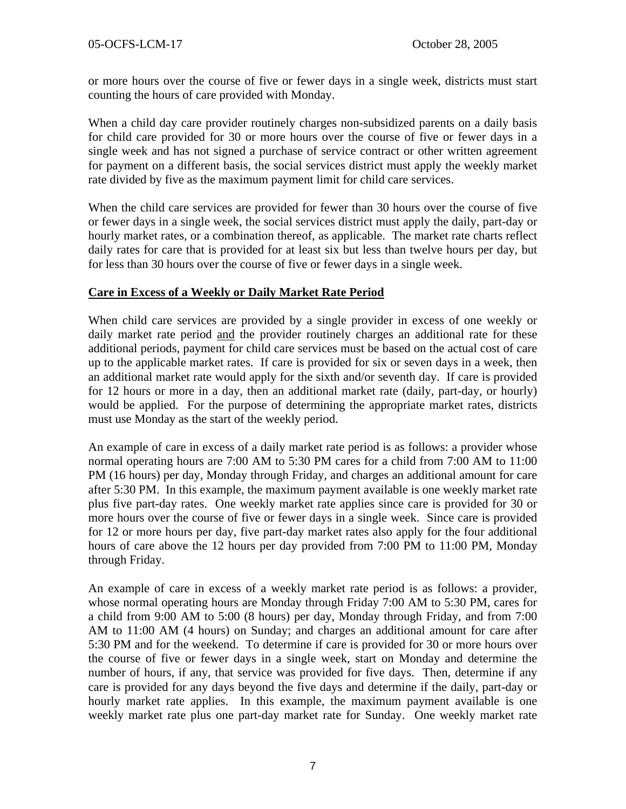or more hours over the course of five or fewer days in a single week, districts must start counting the hours of care provided with Monday.

When a child day care provider routinely charges non-subsidized parents on a daily basis for child care provided for 30 or more hours over the course of five or fewer days in a single week and has not signed a purchase of service contract or other written agreement for payment on a different basis, the social services district must apply the weekly market rate divided by five as the maximum payment limit for child care services.

When the child care services are provided for fewer than 30 hours over the course of five or fewer days in a single week, the social services district must apply the daily, part-day or hourly market rates, or a combination thereof, as applicable. The market rate charts reflect daily rates for care that is provided for at least six but less than twelve hours per day, but for less than 30 hours over the course of five or fewer days in a single week.

#### **Care in Excess of a Weekly or Daily Market Rate Period**

When child care services are provided by a single provider in excess of one weekly or daily market rate period and the provider routinely charges an additional rate for these additional periods, payment for child care services must be based on the actual cost of care up to the applicable market rates. If care is provided for six or seven days in a week, then an additional market rate would apply for the sixth and/or seventh day. If care is provided for 12 hours or more in a day, then an additional market rate (daily, part-day, or hourly) would be applied. For the purpose of determining the appropriate market rates, districts must use Monday as the start of the weekly period.

An example of care in excess of a daily market rate period is as follows: a provider whose normal operating hours are 7:00 AM to 5:30 PM cares for a child from 7:00 AM to 11:00 PM (16 hours) per day, Monday through Friday, and charges an additional amount for care after 5:30 PM. In this example, the maximum payment available is one weekly market rate plus five part-day rates. One weekly market rate applies since care is provided for 30 or more hours over the course of five or fewer days in a single week. Since care is provided for 12 or more hours per day, five part-day market rates also apply for the four additional hours of care above the 12 hours per day provided from 7:00 PM to 11:00 PM, Monday through Friday.

An example of care in excess of a weekly market rate period is as follows: a provider, whose normal operating hours are Monday through Friday 7:00 AM to 5:30 PM, cares for a child from 9:00 AM to 5:00 (8 hours) per day, Monday through Friday, and from 7:00 AM to 11:00 AM (4 hours) on Sunday; and charges an additional amount for care after 5:30 PM and for the weekend. To determine if care is provided for 30 or more hours over the course of five or fewer days in a single week, start on Monday and determine the number of hours, if any, that service was provided for five days. Then, determine if any care is provided for any days beyond the five days and determine if the daily, part-day or hourly market rate applies. In this example, the maximum payment available is one weekly market rate plus one part-day market rate for Sunday. One weekly market rate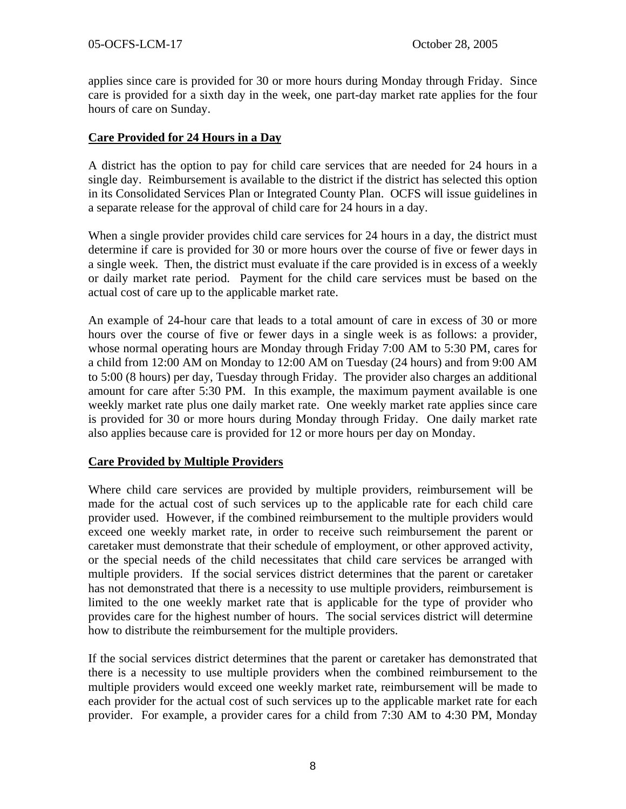applies since care is provided for 30 or more hours during Monday through Friday. Since care is provided for a sixth day in the week, one part-day market rate applies for the four hours of care on Sunday.

## **Care Provided for 24 Hours in a Day**

A district has the option to pay for child care services that are needed for 24 hours in a single day. Reimbursement is available to the district if the district has selected this option in its Consolidated Services Plan or Integrated County Plan. OCFS will issue guidelines in a separate release for the approval of child care for 24 hours in a day.

When a single provider provides child care services for 24 hours in a day, the district must determine if care is provided for 30 or more hours over the course of five or fewer days in a single week. Then, the district must evaluate if the care provided is in excess of a weekly or daily market rate period. Payment for the child care services must be based on the actual cost of care up to the applicable market rate.

An example of 24-hour care that leads to a total amount of care in excess of 30 or more hours over the course of five or fewer days in a single week is as follows: a provider, whose normal operating hours are Monday through Friday 7:00 AM to 5:30 PM, cares for a child from 12:00 AM on Monday to 12:00 AM on Tuesday (24 hours) and from 9:00 AM to 5:00 (8 hours) per day, Tuesday through Friday. The provider also charges an additional amount for care after 5:30 PM. In this example, the maximum payment available is one weekly market rate plus one daily market rate. One weekly market rate applies since care is provided for 30 or more hours during Monday through Friday. One daily market rate also applies because care is provided for 12 or more hours per day on Monday.

## **Care Provided by Multiple Providers**

Where child care services are provided by multiple providers, reimbursement will be made for the actual cost of such services up to the applicable rate for each child care provider used. However, if the combined reimbursement to the multiple providers would exceed one weekly market rate, in order to receive such reimbursement the parent or caretaker must demonstrate that their schedule of employment, or other approved activity, or the special needs of the child necessitates that child care services be arranged with multiple providers. If the social services district determines that the parent or caretaker has not demonstrated that there is a necessity to use multiple providers, reimbursement is limited to the one weekly market rate that is applicable for the type of provider who provides care for the highest number of hours. The social services district will determine how to distribute the reimbursement for the multiple providers.

If the social services district determines that the parent or caretaker has demonstrated that there is a necessity to use multiple providers when the combined reimbursement to the multiple providers would exceed one weekly market rate, reimbursement will be made to each provider for the actual cost of such services up to the applicable market rate for each provider. For example, a provider cares for a child from 7:30 AM to 4:30 PM, Monday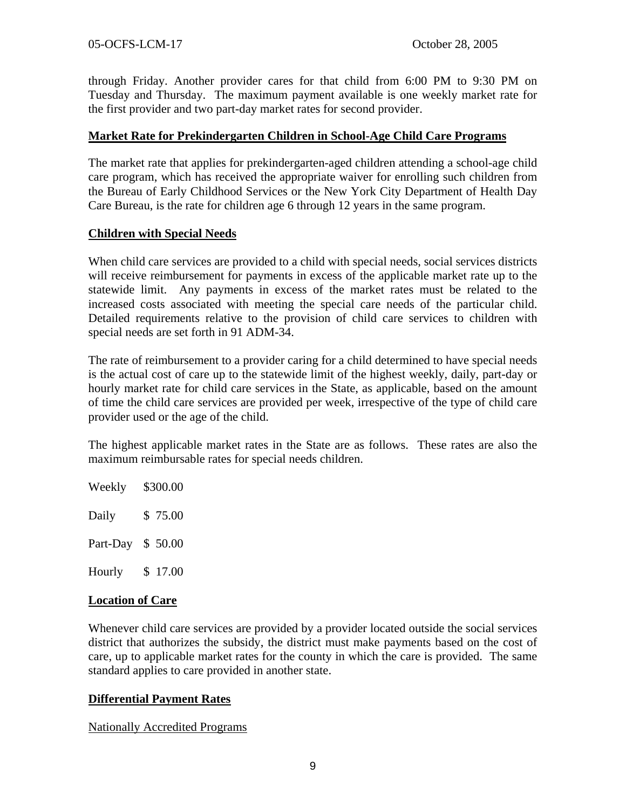through Friday. Another provider cares for that child from 6:00 PM to 9:30 PM on Tuesday and Thursday. The maximum payment available is one weekly market rate for the first provider and two part-day market rates for second provider.

#### **Market Rate for Prekindergarten Children in School-Age Child Care Programs**

The market rate that applies for prekindergarten-aged children attending a school-age child care program, which has received the appropriate waiver for enrolling such children from the Bureau of Early Childhood Services or the New York City Department of Health Day Care Bureau, is the rate for children age 6 through 12 years in the same program.

## **Children with Special Needs**

When child care services are provided to a child with special needs, social services districts will receive reimbursement for payments in excess of the applicable market rate up to the statewide limit. Any payments in excess of the market rates must be related to the increased costs associated with meeting the special care needs of the particular child. Detailed requirements relative to the provision of child care services to children with special needs are set forth in 91 ADM-34.

The rate of reimbursement to a provider caring for a child determined to have special needs is the actual cost of care up to the statewide limit of the highest weekly, daily, part-day or hourly market rate for child care services in the State, as applicable, based on the amount of time the child care services are provided per week, irrespective of the type of child care provider used or the age of the child.

The highest applicable market rates in the State are as follows. These rates are also the maximum reimbursable rates for special needs children.

Weekly \$300.00 Daily \$ 75.00

Part-Day \$ 50.00

Hourly \$ 17.00

## **Location of Care**

Whenever child care services are provided by a provider located outside the social services district that authorizes the subsidy, the district must make payments based on the cost of care, up to applicable market rates for the county in which the care is provided. The same standard applies to care provided in another state.

#### **Differential Payment Rates**

Nationally Accredited Programs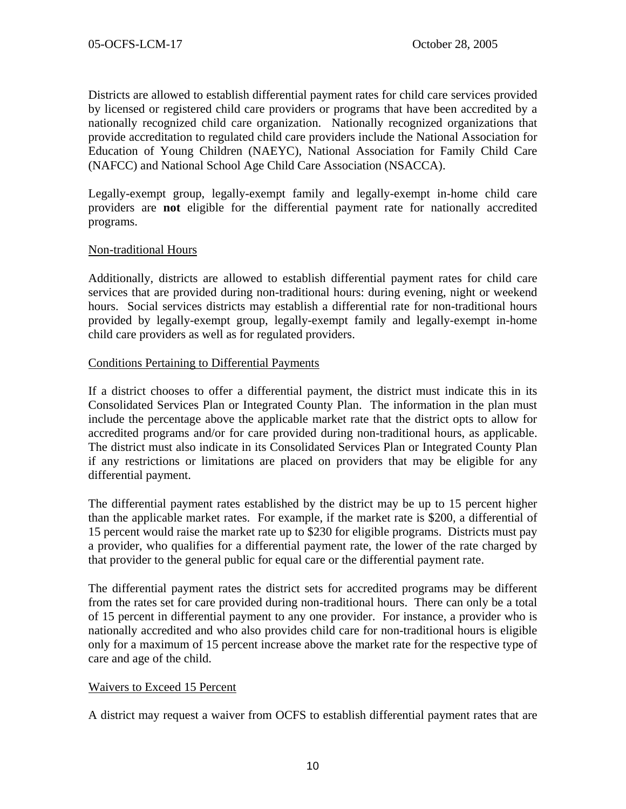Districts are allowed to establish differential payment rates for child care services provided by licensed or registered child care providers or programs that have been accredited by a nationally recognized child care organization. Nationally recognized organizations that provide accreditation to regulated child care providers include the National Association for Education of Young Children (NAEYC), National Association for Family Child Care (NAFCC) and National School Age Child Care Association (NSACCA).

Legally-exempt group, legally-exempt family and legally-exempt in-home child care providers are **not** eligible for the differential payment rate for nationally accredited programs.

#### Non-traditional Hours

Additionally, districts are allowed to establish differential payment rates for child care services that are provided during non-traditional hours: during evening, night or weekend hours. Social services districts may establish a differential rate for non-traditional hours provided by legally-exempt group, legally-exempt family and legally-exempt in-home child care providers as well as for regulated providers.

#### Conditions Pertaining to Differential Payments

If a district chooses to offer a differential payment, the district must indicate this in its Consolidated Services Plan or Integrated County Plan. The information in the plan must include the percentage above the applicable market rate that the district opts to allow for accredited programs and/or for care provided during non-traditional hours, as applicable. The district must also indicate in its Consolidated Services Plan or Integrated County Plan if any restrictions or limitations are placed on providers that may be eligible for any differential payment.

The differential payment rates established by the district may be up to 15 percent higher than the applicable market rates. For example, if the market rate is \$200, a differential of 15 percent would raise the market rate up to \$230 for eligible programs. Districts must pay a provider, who qualifies for a differential payment rate, the lower of the rate charged by that provider to the general public for equal care or the differential payment rate.

The differential payment rates the district sets for accredited programs may be different from the rates set for care provided during non-traditional hours. There can only be a total of 15 percent in differential payment to any one provider. For instance, a provider who is nationally accredited and who also provides child care for non-traditional hours is eligible only for a maximum of 15 percent increase above the market rate for the respective type of care and age of the child.

#### Waivers to Exceed 15 Percent

A district may request a waiver from OCFS to establish differential payment rates that are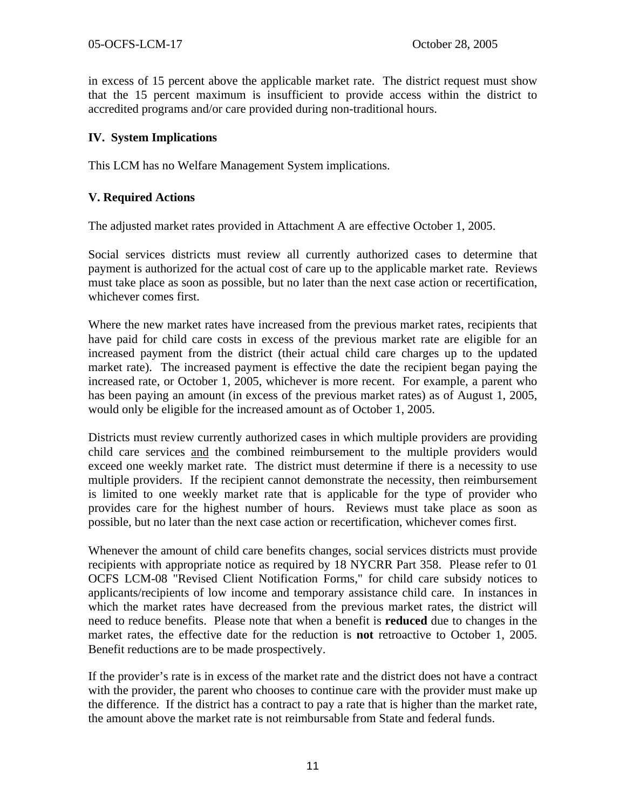in excess of 15 percent above the applicable market rate. The district request must show that the 15 percent maximum is insufficient to provide access within the district to accredited programs and/or care provided during non-traditional hours.

#### **IV. System Implications**

This LCM has no Welfare Management System implications.

#### **V. Required Actions**

The adjusted market rates provided in Attachment A are effective October 1, 2005.

Social services districts must review all currently authorized cases to determine that payment is authorized for the actual cost of care up to the applicable market rate. Reviews must take place as soon as possible, but no later than the next case action or recertification, whichever comes first.

Where the new market rates have increased from the previous market rates, recipients that have paid for child care costs in excess of the previous market rate are eligible for an increased payment from the district (their actual child care charges up to the updated market rate). The increased payment is effective the date the recipient began paying the increased rate, or October 1, 2005, whichever is more recent. For example, a parent who has been paying an amount (in excess of the previous market rates) as of August 1, 2005, would only be eligible for the increased amount as of October 1, 2005.

Districts must review currently authorized cases in which multiple providers are providing child care services and the combined reimbursement to the multiple providers would exceed one weekly market rate. The district must determine if there is a necessity to use multiple providers. If the recipient cannot demonstrate the necessity, then reimbursement is limited to one weekly market rate that is applicable for the type of provider who provides care for the highest number of hours. Reviews must take place as soon as possible, but no later than the next case action or recertification, whichever comes first.

Whenever the amount of child care benefits changes, social services districts must provide recipients with appropriate notice as required by 18 NYCRR Part 358. Please refer to 01 OCFS LCM-08 "Revised Client Notification Forms," for child care subsidy notices to applicants/recipients of low income and temporary assistance child care. In instances in which the market rates have decreased from the previous market rates, the district will need to reduce benefits. Please note that when a benefit is **reduced** due to changes in the market rates, the effective date for the reduction is **not** retroactive to October 1, 2005. Benefit reductions are to be made prospectively.

If the provider's rate is in excess of the market rate and the district does not have a contract with the provider, the parent who chooses to continue care with the provider must make up the difference. If the district has a contract to pay a rate that is higher than the market rate, the amount above the market rate is not reimbursable from State and federal funds.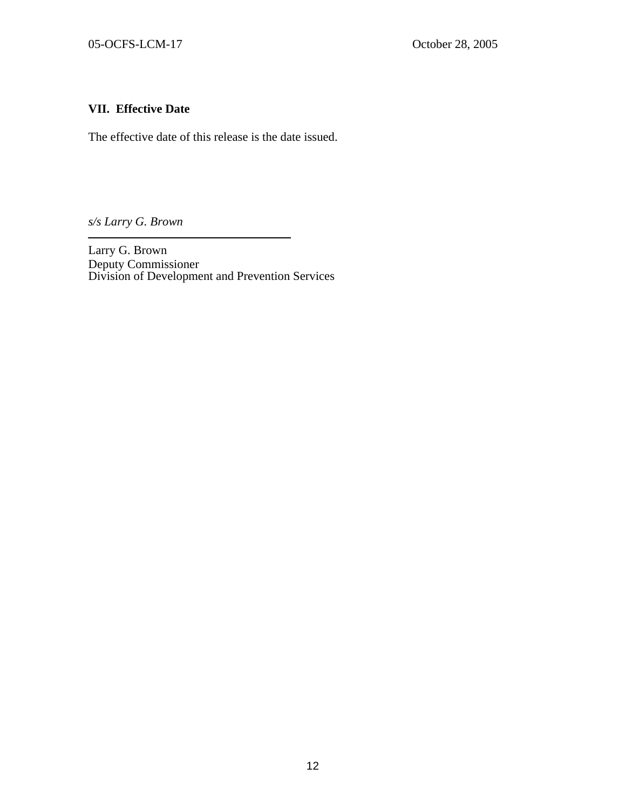## **VII. Effective Date**

The effective date of this release is the date issued.

*s/s Larry G. Brown* 

Larry G. Brown Deputy Commissioner Division of Development and Prevention Services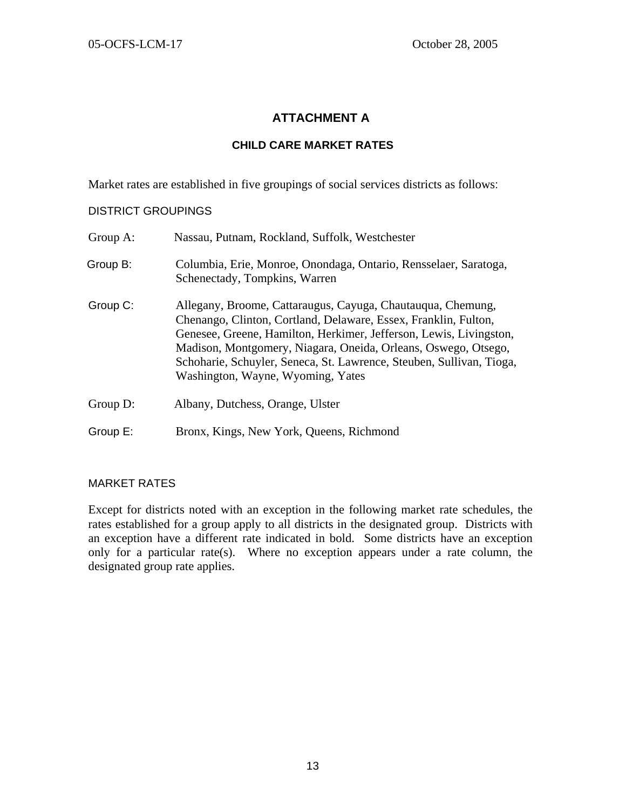## **ATTACHMENT A**

#### **CHILD CARE MARKET RATES**

Market rates are established in five groupings of social services districts as follows:

#### DISTRICT GROUPINGS

| Group A: | Nassau, Putnam, Rockland, Suffolk, Westchester                                                                                                                                                                                                                                                                                                                                      |
|----------|-------------------------------------------------------------------------------------------------------------------------------------------------------------------------------------------------------------------------------------------------------------------------------------------------------------------------------------------------------------------------------------|
| Group B: | Columbia, Erie, Monroe, Onondaga, Ontario, Rensselaer, Saratoga,<br>Schenectady, Tompkins, Warren                                                                                                                                                                                                                                                                                   |
| Group C: | Allegany, Broome, Cattaraugus, Cayuga, Chautauqua, Chemung,<br>Chenango, Clinton, Cortland, Delaware, Essex, Franklin, Fulton,<br>Genesee, Greene, Hamilton, Herkimer, Jefferson, Lewis, Livingston,<br>Madison, Montgomery, Niagara, Oneida, Orleans, Oswego, Otsego,<br>Schoharie, Schuyler, Seneca, St. Lawrence, Steuben, Sullivan, Tioga,<br>Washington, Wayne, Wyoming, Yates |
| Group D: | Albany, Dutchess, Orange, Ulster                                                                                                                                                                                                                                                                                                                                                    |
| Group E: | Bronx, Kings, New York, Queens, Richmond                                                                                                                                                                                                                                                                                                                                            |

#### MARKET RATES

Except for districts noted with an exception in the following market rate schedules, the rates established for a group apply to all districts in the designated group. Districts with an exception have a different rate indicated in bold. Some districts have an exception only for a particular rate(s). Where no exception appears under a rate column, the designated group rate applies.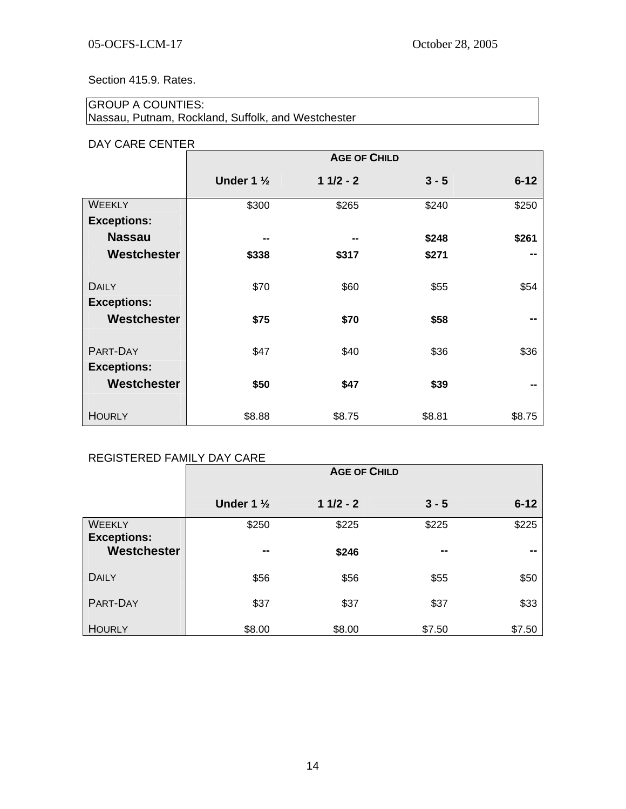Section 415.9. Rates.

## GROUP A COUNTIES: Nassau, Putnam, Rockland, Suffolk, and Westchester

### DAY CARE CENTER

|                    | <b>AGE OF CHILD</b>   |            |         |          |
|--------------------|-----------------------|------------|---------|----------|
|                    | Under 1 $\frac{1}{2}$ | $11/2 - 2$ | $3 - 5$ | $6 - 12$ |
| <b>WEEKLY</b>      | \$300                 | \$265      | \$240   | \$250    |
| <b>Exceptions:</b> |                       |            |         |          |
| <b>Nassau</b>      | --                    | --         | \$248   | \$261    |
| Westchester        | \$338                 | \$317      | \$271   | --       |
|                    |                       |            |         |          |
| <b>DAILY</b>       | \$70                  | \$60       | \$55    | \$54     |
| <b>Exceptions:</b> |                       |            |         |          |
| Westchester        | \$75                  | \$70       | \$58    |          |
|                    |                       |            |         |          |
| PART-DAY           | \$47                  | \$40       | \$36    | \$36     |
| <b>Exceptions:</b> |                       |            |         |          |
| Westchester        | \$50                  | \$47       | \$39    |          |
|                    |                       |            |         |          |
| <b>HOURLY</b>      | \$8.88                | \$8.75     | \$8.81  | \$8.75   |

## REGISTERED FAMILY DAY CARE

|                              | <b>AGE OF CHILD</b>   |            |         |          |  |
|------------------------------|-----------------------|------------|---------|----------|--|
|                              | Under 1 $\frac{1}{2}$ | $11/2 - 2$ | $3 - 5$ | $6 - 12$ |  |
| WEEKLY<br><b>Exceptions:</b> | \$250                 | \$225      | \$225   | \$225    |  |
| Westchester                  | --                    | \$246      | --      | --       |  |
| <b>DAILY</b>                 | \$56                  | \$56       | \$55    | \$50     |  |
| PART-DAY                     | \$37                  | \$37       | \$37    | \$33     |  |
| <b>HOURLY</b>                | \$8.00                | \$8.00     | \$7.50  | \$7.50   |  |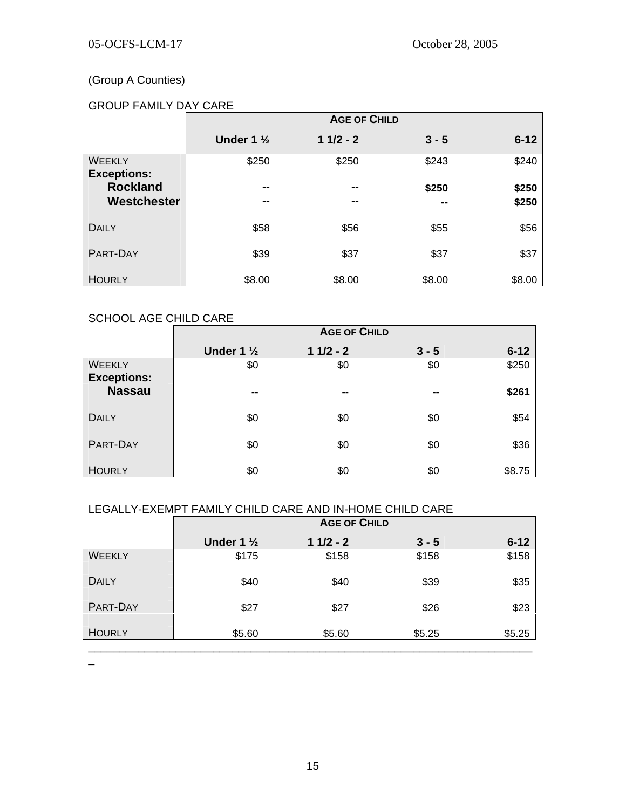## (Group A Counties)

## GROUP FAMILY DAY CARE

|                                     | <b>AGE OF CHILD</b>   |            |         |          |
|-------------------------------------|-----------------------|------------|---------|----------|
|                                     | Under 1 $\frac{1}{2}$ | $11/2 - 2$ | $3 - 5$ | $6 - 12$ |
| <b>WEEKLY</b><br><b>Exceptions:</b> | \$250                 | \$250      | \$243   | \$240    |
| <b>Rockland</b><br>Westchester      | --                    | --         | \$250   | \$250    |
|                                     | --                    | --         | --      | \$250    |
| DAILY                               | \$58                  | \$56       | \$55    | \$56     |
| PART-DAY                            | \$39                  | \$37       | \$37    | \$37     |
| <b>HOURLY</b>                       | \$8.00                | \$8.00     | \$8.00  | \$8.00   |

## SCHOOL AGE CHILD CARE

|                                     | <b>AGE OF CHILD</b>   |                |                |          |
|-------------------------------------|-----------------------|----------------|----------------|----------|
|                                     | Under 1 $\frac{1}{2}$ | $11/2 - 2$     | $3 - 5$        | $6 - 12$ |
| WEEKLY                              | \$0                   | \$0            | \$0            | \$250    |
| <b>Exceptions:</b><br><b>Nassau</b> | $\blacksquare$        | $\blacksquare$ | $\blacksquare$ | \$261    |
| <b>DAILY</b>                        | \$0                   | \$0            | \$0            | \$54     |
| PART-DAY                            | \$0                   | \$0            | \$0            | \$36     |
| <b>HOURLY</b>                       | \$0                   | \$0            | \$0            | \$8.75   |

## LEGALLY-EXEMPT FAMILY CHILD CARE AND IN-HOME CHILD CARE

|               | <b>AGE OF CHILD</b>   |            |         |          |
|---------------|-----------------------|------------|---------|----------|
|               | Under 1 $\frac{1}{2}$ | $11/2 - 2$ | $3 - 5$ | $6 - 12$ |
| <b>WEEKLY</b> | \$175                 | \$158      | \$158   | \$158    |
| <b>DAILY</b>  | \$40                  | \$40       | \$39    | \$35     |
| PART-DAY      | \$27                  | \$27       | \$26    | \$23     |
| <b>HOURLY</b> | \$5.60                | \$5.60     | \$5.25  | \$5.25   |

 $\overline{\phantom{m}}$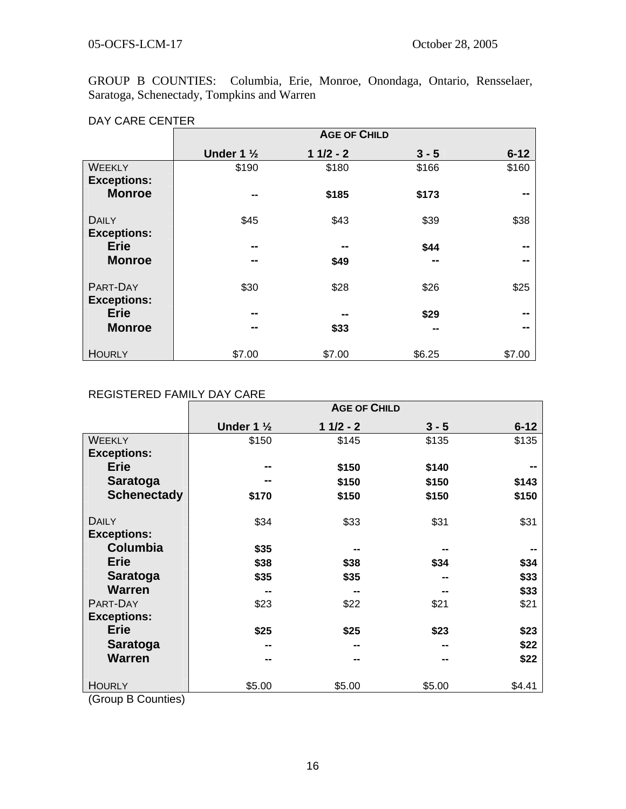## 05-OCFS-LCM-17 October 28, 2005

GROUP B COUNTIES: Columbia, Erie, Monroe, Onondaga, Ontario, Rensselaer, Saratoga, Schenectady, Tompkins and Warren

#### DAY CARE CENTER

|                                    | <b>AGE OF CHILD</b>   |            |         |          |
|------------------------------------|-----------------------|------------|---------|----------|
|                                    | Under 1 $\frac{1}{2}$ | $11/2 - 2$ | $3 - 5$ | $6 - 12$ |
| <b>WEEKLY</b>                      | \$190                 | \$180      | \$166   | \$160    |
| <b>Exceptions:</b>                 |                       |            |         |          |
| <b>Monroe</b>                      | --                    | \$185      | \$173   | --       |
|                                    |                       |            |         |          |
| <b>DAILY</b><br><b>Exceptions:</b> | \$45                  | \$43       | \$39    | \$38     |
| <b>Erie</b>                        | --                    | --         | \$44    | --       |
| <b>Monroe</b>                      | --                    | \$49       | --      | --       |
|                                    |                       |            |         |          |
| PART-DAY                           | \$30                  | \$28       | \$26    | \$25     |
| <b>Exceptions:</b>                 |                       |            |         |          |
| <b>Erie</b>                        | --                    | --         | \$29    | --       |
| <b>Monroe</b>                      | --                    | \$33       | --      | --       |
|                                    |                       |            |         |          |
| <b>HOURLY</b>                      | \$7.00                | \$7.00     | \$6.25  | \$7.00   |

## REGISTERED FAMILY DAY CARE

|                                                       | <b>AGE OF CHILD</b>   |            |         |          |
|-------------------------------------------------------|-----------------------|------------|---------|----------|
|                                                       | Under 1 $\frac{1}{2}$ | $11/2 - 2$ | $3 - 5$ | $6 - 12$ |
| <b>WEEKLY</b>                                         | \$150                 | \$145      | \$135   | \$135    |
| <b>Exceptions:</b>                                    |                       |            |         |          |
| <b>Erie</b>                                           | --                    | \$150      | \$140   |          |
| <b>Saratoga</b>                                       | --                    | \$150      | \$150   | \$143    |
| <b>Schenectady</b>                                    | \$170                 | \$150      | \$150   | \$150    |
| <b>DAILY</b>                                          | \$34                  | \$33       | \$31    | \$31     |
| <b>Exceptions:</b>                                    |                       |            |         |          |
| <b>Columbia</b>                                       | \$35                  |            |         |          |
| <b>Erie</b>                                           | \$38                  | \$38       | \$34    | \$34     |
| <b>Saratoga</b>                                       | \$35                  | \$35       |         | \$33     |
| <b>Warren</b>                                         | --                    |            |         | \$33     |
| PART-DAY                                              | \$23                  | \$22       | \$21    | \$21     |
| <b>Exceptions:</b>                                    |                       |            |         |          |
| <b>Erie</b>                                           | \$25                  | \$25       | \$23    | \$23     |
| <b>Saratoga</b>                                       | --                    |            |         | \$22     |
| <b>Warren</b>                                         | --                    | --         | --      | \$22     |
| <b>HOURLY</b><br>$\mathbf{A}$ and $\mathbf{A}$<br>- - | \$5.00                | \$5.00     | \$5.00  | \$4.41   |

(Group B Counties)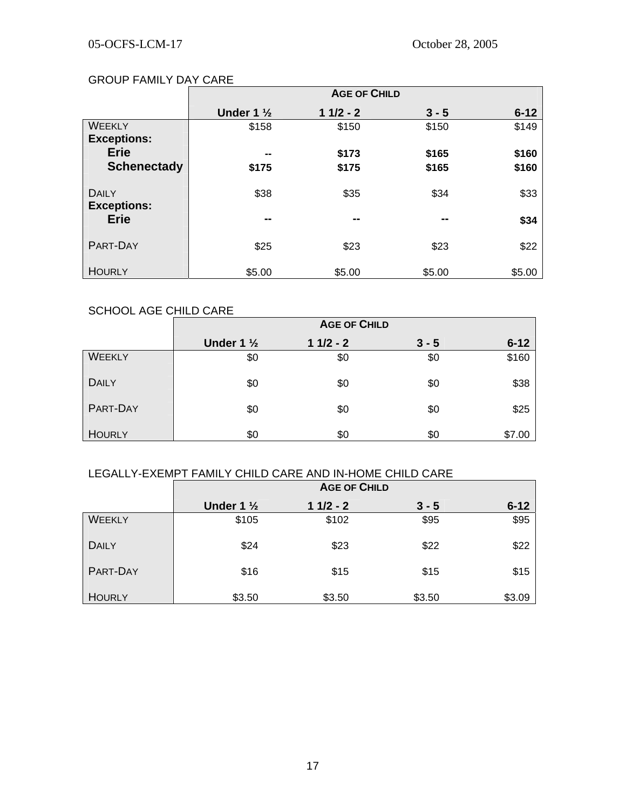#### GROUP FAMILY DAY CARE

|                                    | <b>AGE OF CHILD</b>   |            |         |          |
|------------------------------------|-----------------------|------------|---------|----------|
|                                    | Under 1 $\frac{1}{2}$ | $11/2 - 2$ | $3 - 5$ | $6 - 12$ |
| <b>WEEKLY</b>                      | \$158                 | \$150      | \$150   | \$149    |
| <b>Exceptions:</b>                 |                       |            |         |          |
| <b>Erie</b>                        | --                    | \$173      | \$165   | \$160    |
| <b>Schenectady</b>                 | \$175                 | \$175      | \$165   | \$160    |
| <b>DAILY</b><br><b>Exceptions:</b> | \$38                  | \$35       | \$34    | \$33     |
| <b>Erie</b>                        | --                    | --         | --      | \$34     |
| PART-DAY                           | \$25                  | \$23       | \$23    | \$22     |
| <b>HOURLY</b>                      | \$5.00                | \$5.00     | \$5.00  | \$5.00   |

## SCHOOL AGE CHILD CARE

|               | <b>AGE OF CHILD</b>   |            |         |          |
|---------------|-----------------------|------------|---------|----------|
|               | Under 1 $\frac{1}{2}$ | $11/2 - 2$ | $3 - 5$ | $6 - 12$ |
| <b>WEEKLY</b> | \$0                   | \$0        | \$0     | \$160    |
| <b>DAILY</b>  | \$0                   | \$0        | \$0     | \$38     |
| PART-DAY      | \$0                   | \$0        | \$0     | \$25     |
| <b>HOURLY</b> | \$0                   | \$0        | \$0     | \$7.00   |

## LEGALLY-EXEMPT FAMILY CHILD CARE AND IN-HOME CHILD CARE

|               | <b>AGE OF CHILD</b>   |            |         |          |  |
|---------------|-----------------------|------------|---------|----------|--|
|               | Under 1 $\frac{1}{2}$ | $11/2 - 2$ | $3 - 5$ | $6 - 12$ |  |
| <b>WEEKLY</b> | \$105                 | \$102      | \$95    | \$95     |  |
| <b>DAILY</b>  | \$24                  | \$23       | \$22    | \$22     |  |
| PART-DAY      | \$16                  | \$15       | \$15    | \$15     |  |
| <b>HOURLY</b> | \$3.50                | \$3.50     | \$3.50  | \$3.09   |  |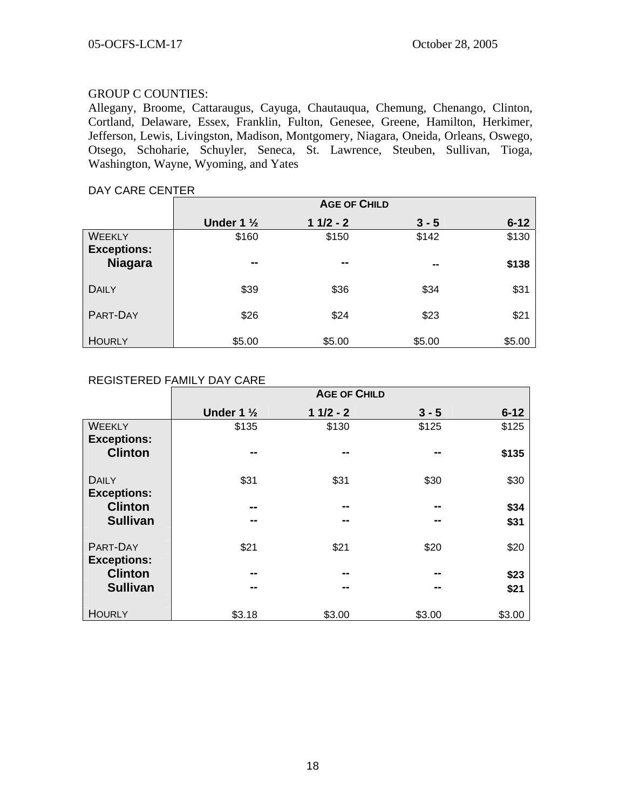## GROUP C COUNTIES:

Allegany, Broome, Cattaraugus, Cayuga, Chautauqua, Chemung, Chenango, Clinton, Cortland, Delaware, Essex, Franklin, Fulton, Genesee, Greene, Hamilton, Herkimer, Jefferson, Lewis, Livingston, Madison, Montgomery, Niagara, Oneida, Orleans, Oswego, Otsego, Schoharie, Schuyler, Seneca, St. Lawrence, Steuben, Sullivan, Tioga, Washington, Wayne, Wyoming, and Yates

# DAY CARE CENTER **AGE OF CHILD** Under 1 <sup>1</sup>/<sub>2</sub> **1 1/2 - 2 3 - 5 6-12** WEEKLY | \$160 \$150 \$142 \$130 **Exceptions: Niagara -- -- -- \$138** DAILY | \$39 \$36 \$34 \$31 PART-DAY | \$26 \$24 \$23 \$21 HOURLY \$5.00 \$5.00 \$5.00 \$5.00

#### REGISTERED FAMILY DAY CARE

|                                     | <b>AGE OF CHILD</b>   |            |         |          |  |
|-------------------------------------|-----------------------|------------|---------|----------|--|
|                                     | Under 1 $\frac{1}{2}$ | $11/2 - 2$ | $3 - 5$ | $6 - 12$ |  |
| <b>WEEKLY</b><br><b>Exceptions:</b> | \$135                 | \$130      | \$125   | \$125    |  |
| <b>Clinton</b>                      | --                    | --         | --      | \$135    |  |
| <b>DAILY</b><br><b>Exceptions:</b>  | \$31                  | \$31       | \$30    | \$30     |  |
| <b>Clinton</b>                      | --                    | --         | --      | \$34     |  |
| <b>Sullivan</b>                     | --                    | --         | --      | \$31     |  |
| PART-DAY<br><b>Exceptions:</b>      | \$21                  | \$21       | \$20    | \$20     |  |
| <b>Clinton</b>                      | --                    | --         | --      | \$23     |  |
| <b>Sullivan</b>                     | --                    | --         | --      | \$21     |  |
| <b>HOURLY</b>                       | \$3.18                | \$3.00     | \$3.00  | \$3.00   |  |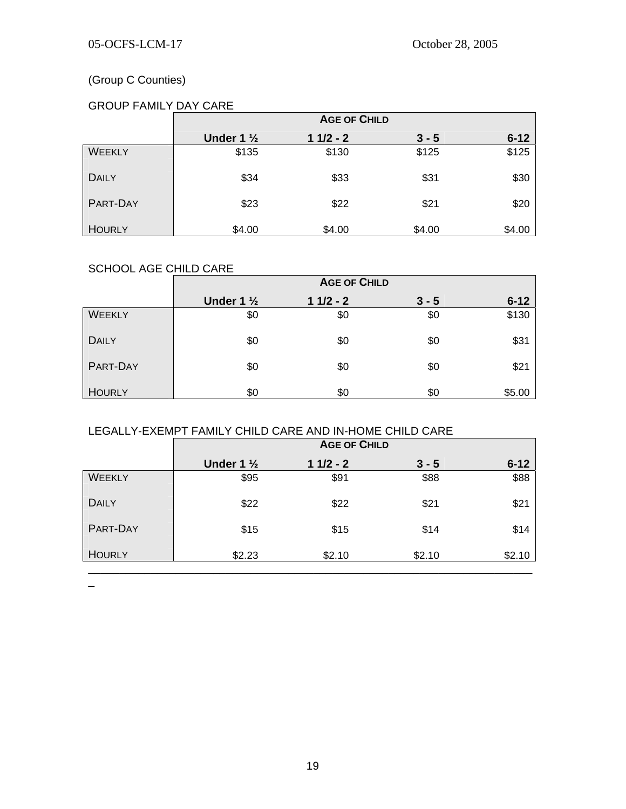## (Group C Counties)

## GROUP FAMILY DAY CARE

|               | <b>AGE OF CHILD</b>  |            |         |          |
|---------------|----------------------|------------|---------|----------|
|               | Under $1\frac{1}{2}$ | $11/2 - 2$ | $3 - 5$ | $6 - 12$ |
| <b>WEEKLY</b> | \$135                | \$130      | \$125   | \$125    |
| <b>DAILY</b>  | \$34                 | \$33       | \$31    | \$30     |
| PART-DAY      | \$23                 | \$22       | \$21    | \$20     |
| <b>HOURLY</b> | \$4.00               | \$4.00     | \$4.00  | \$4.00   |

## SCHOOL AGE CHILD CARE

|               | <b>AGE OF CHILD</b>   |            |         |          |
|---------------|-----------------------|------------|---------|----------|
|               | Under 1 $\frac{1}{2}$ | $11/2 - 2$ | $3 - 5$ | $6 - 12$ |
| <b>WEEKLY</b> | \$0                   | \$0        | \$0     | \$130    |
| <b>DAILY</b>  | \$0                   | \$0        | \$0     | \$31     |
| PART-DAY      | \$0                   | \$0        | \$0     | \$21     |
| <b>HOURLY</b> | \$0                   | \$0        | \$0     | \$5.00   |

## LEGALLY-EXEMPT FAMILY CHILD CARE AND IN-HOME CHILD CARE

|               | <b>AGE OF CHILD</b>   |            |         |          |
|---------------|-----------------------|------------|---------|----------|
|               | Under 1 $\frac{1}{2}$ | $11/2 - 2$ | $3 - 5$ | $6 - 12$ |
| <b>WEEKLY</b> | \$95                  | \$91       | \$88    | \$88     |
| <b>DAILY</b>  | \$22                  | \$22       | \$21    | \$21     |
| PART-DAY      | \$15                  | \$15       | \$14    | \$14     |
| <b>HOURLY</b> | \$2.23                | \$2.10     | \$2.10  | \$2.10   |

 $\equiv$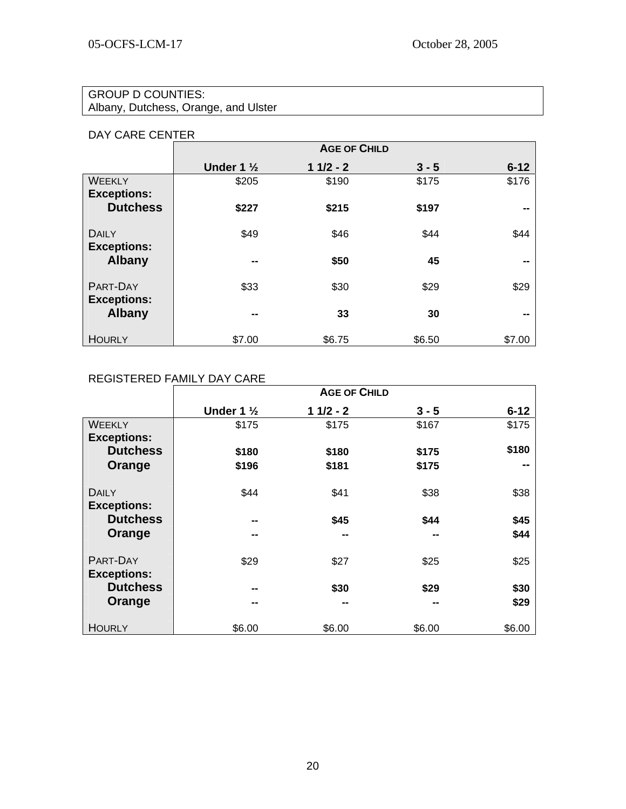## GROUP D COUNTIES:

Albany, Dutchess, Orange, and Ulster

## DAY CARE CENTER

|                                     | <b>AGE OF CHILD</b>      |            |         |                          |
|-------------------------------------|--------------------------|------------|---------|--------------------------|
|                                     | Under 1 $\frac{1}{2}$    | $11/2 - 2$ | $3 - 5$ | $6 - 12$                 |
| <b>WEEKLY</b><br><b>Exceptions:</b> | \$205                    | \$190      | \$175   | \$176                    |
| <b>Dutchess</b>                     | \$227                    | \$215      | \$197   | --                       |
| <b>DAILY</b><br><b>Exceptions:</b>  | \$49                     | \$46       | \$44    | \$44                     |
| <b>Albany</b>                       | --                       | \$50       | 45      | --                       |
| PART-DAY<br><b>Exceptions:</b>      | \$33                     | \$30       | \$29    | \$29                     |
| <b>Albany</b>                       | $\overline{\phantom{a}}$ | 33         | 30      | $\overline{\phantom{a}}$ |
| <b>HOURLY</b>                       | \$7.00                   | \$6.75     | \$6.50  | \$7.00                   |

## REGISTERED FAMILY DAY CARE

|                                     | <b>AGE OF CHILD</b>   |            |         |          |
|-------------------------------------|-----------------------|------------|---------|----------|
|                                     | Under 1 $\frac{1}{2}$ | $11/2 - 2$ | $3 - 5$ | $6 - 12$ |
| <b>WEEKLY</b><br><b>Exceptions:</b> | \$175                 | \$175      | \$167   | \$175    |
| <b>Dutchess</b>                     | \$180                 | \$180      | \$175   | \$180    |
| Orange                              | \$196                 | \$181      | \$175   | --       |
| DAILY<br><b>Exceptions:</b>         | \$44                  | \$41       | \$38    | \$38     |
| <b>Dutchess</b>                     | --                    | \$45       | \$44    | \$45     |
| Orange                              | --                    | --         | --      | \$44     |
| PART-DAY<br><b>Exceptions:</b>      | \$29                  | \$27       | \$25    | \$25     |
| <b>Dutchess</b>                     | --                    | \$30       | \$29    | \$30     |
| Orange                              | --                    | --         | --      | \$29     |
| <b>HOURLY</b>                       | \$6.00                | \$6.00     | \$6.00  | \$6.00   |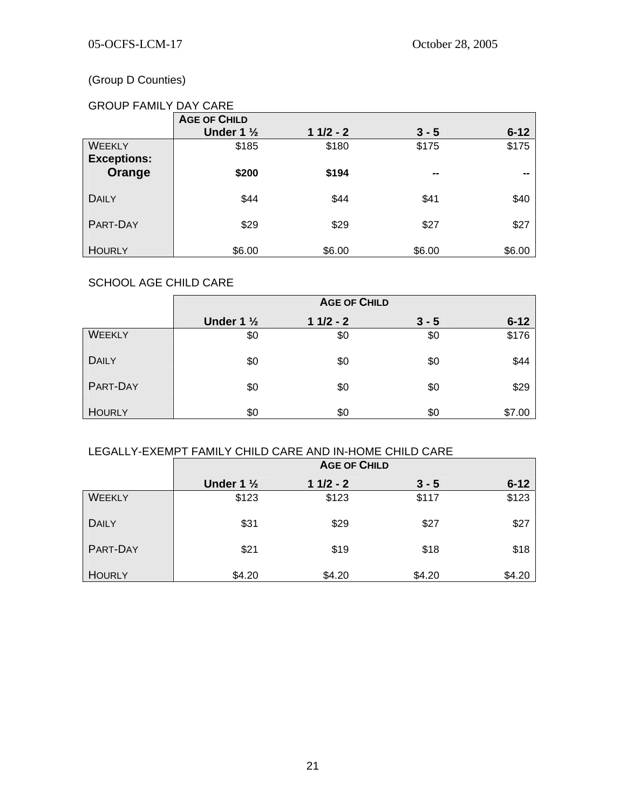## (Group D Counties)

## GROUP FAMILY DAY CARE

|                    | <b>AGE OF CHILD</b>   |            |                |                |
|--------------------|-----------------------|------------|----------------|----------------|
|                    | Under 1 $\frac{1}{2}$ | $11/2 - 2$ | $3 - 5$        | $6 - 12$       |
| <b>WEEKLY</b>      | \$185                 | \$180      | \$175          | \$175          |
| <b>Exceptions:</b> |                       |            |                |                |
| Orange             | \$200                 | \$194      | $\blacksquare$ | $\blacksquare$ |
| <b>DAILY</b>       | \$44                  | \$44       | \$41           | \$40           |
| PART-DAY           | \$29                  | \$29       | \$27           | \$27           |
| <b>HOURLY</b>      | \$6.00                | \$6.00     | \$6.00         | \$6.00         |

### SCHOOL AGE CHILD CARE

|               | <b>AGE OF CHILD</b>   |            |         |          |
|---------------|-----------------------|------------|---------|----------|
|               | Under 1 $\frac{1}{2}$ | $11/2 - 2$ | $3 - 5$ | $6 - 12$ |
| <b>WEEKLY</b> | \$0                   | \$0        | \$0     | \$176    |
| <b>DAILY</b>  | \$0                   | \$0        | \$0     | \$44     |
| PART-DAY      | \$0                   | \$0        | \$0     | \$29     |
| <b>HOURLY</b> | \$0                   | \$0        | \$0     | \$7.00   |

## LEGALLY-EXEMPT FAMILY CHILD CARE AND IN-HOME CHILD CARE

|               | <b>AGE OF CHILD</b>  |            |         |          |
|---------------|----------------------|------------|---------|----------|
|               | Under $1\frac{1}{2}$ | $11/2 - 2$ | $3 - 5$ | $6 - 12$ |
| <b>WEEKLY</b> | \$123                | \$123      | \$117   | \$123    |
| <b>DAILY</b>  | \$31                 | \$29       | \$27    | \$27     |
| PART-DAY      | \$21                 | \$19       | \$18    | \$18     |
| <b>HOURLY</b> | \$4.20               | \$4.20     | \$4.20  | \$4.20   |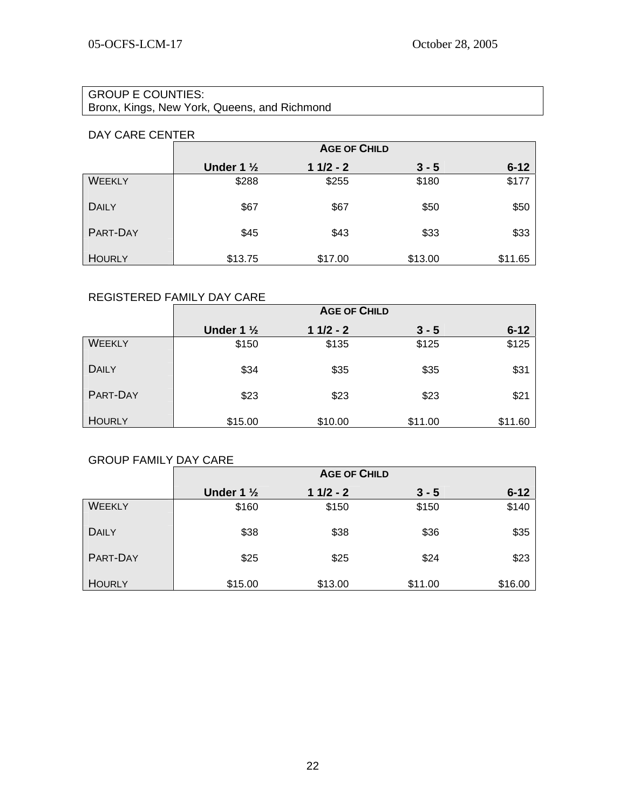# GROUP E COUNTIES:

Bronx, Kings, New York, Queens, and Richmond

## DAY CARE CENTER

|               | <b>AGE OF CHILD</b>   |            |         |          |
|---------------|-----------------------|------------|---------|----------|
|               | Under 1 $\frac{1}{2}$ | $11/2 - 2$ | $3 - 5$ | $6 - 12$ |
| <b>WEEKLY</b> | \$288                 | \$255      | \$180   | \$177    |
| <b>DAILY</b>  | \$67                  | \$67       | \$50    | \$50     |
| PART-DAY      | \$45                  | \$43       | \$33    | \$33     |
| <b>HOURLY</b> | \$13.75               | \$17.00    | \$13.00 | \$11.65  |

## REGISTERED FAMILY DAY CARE

|               | <b>AGE OF CHILD</b>   |            |         |          |
|---------------|-----------------------|------------|---------|----------|
|               | Under 1 $\frac{1}{2}$ | $11/2 - 2$ | $3 - 5$ | $6 - 12$ |
| <b>WEEKLY</b> | \$150                 | \$135      | \$125   | \$125    |
| <b>DAILY</b>  | \$34                  | \$35       | \$35    | \$31     |
| PART-DAY      | \$23                  | \$23       | \$23    | \$21     |
| <b>HOURLY</b> | \$15.00               | \$10.00    | \$11.00 | \$11.60  |

## GROUP FAMILY DAY CARE

|                 | <b>AGE OF CHILD</b>   |            |         |          |
|-----------------|-----------------------|------------|---------|----------|
|                 | Under 1 $\frac{1}{2}$ | $11/2 - 2$ | $3 - 5$ | $6 - 12$ |
| <b>WEEKLY</b>   | \$160                 | \$150      | \$150   | \$140    |
| <b>DAILY</b>    | \$38                  | \$38       | \$36    | \$35     |
| <b>PART-DAY</b> | \$25                  | \$25       | \$24    | \$23     |
| <b>HOURLY</b>   | \$15.00               | \$13.00    | \$11.00 | \$16.00  |